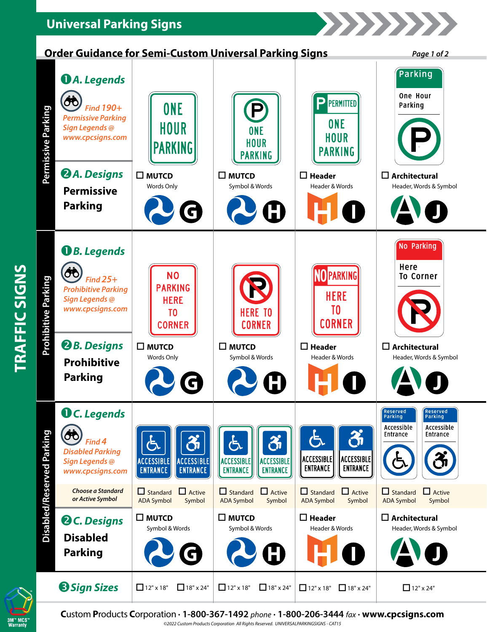## **Universal Parking Signs**

**TRAFFIC SIGNS**

TRAFFIC SIGNS

M™ MCS<br>Warrantu





22222222

| Permissive Parking         | <b><i>DA. Legends</i></b><br>ÔÔ<br><b>Find 190+</b><br><b>Permissive Parking</b><br>Sign Legends @<br>www.cpcsigns.com<br><b>2</b> A. Designs<br><b>Permissive</b> | <b>ONE</b><br>HOUR<br><b>PARKING</b><br>$\square$ MUTCD<br>Words Only                   | Cruci Guiuante IVI Jenn-Custom Universal Farking Jigns<br>$\bm{\mathsf{P}}$<br><b>ONE</b><br><b>HOUR</b><br><b>PARKING</b><br>$\square$ MUTCD<br>Symbol & Words | PERMITTED<br>в,<br><b>ONE</b><br><b>HOUR</b><br><b>PARKING</b><br>$\Box$ Header<br>Header & Words | ruye ı vı z<br>Parking<br>One Hour<br>Parking<br>$\square$ Architectural<br>Header, Words & Symbol |
|----------------------------|--------------------------------------------------------------------------------------------------------------------------------------------------------------------|-----------------------------------------------------------------------------------------|-----------------------------------------------------------------------------------------------------------------------------------------------------------------|---------------------------------------------------------------------------------------------------|----------------------------------------------------------------------------------------------------|
| <b>Prohibitive Parking</b> | <b>Parking</b><br><b>O</b> B. Legends<br>OO<br>Find $25+$<br><b>Prohibitive Parking</b><br>Sign Legends @<br>www.cpcsigns.com                                      | G<br><b>NO</b><br><b>PARKING</b><br><b>HERE</b><br>T <sub>0</sub><br><b>CORNER</b>      | <b>HERE TO</b><br><b>CORNER</b>                                                                                                                                 | <b>MPARKING</b><br><b>HERE</b><br>T <sub>0</sub><br><b>CORNER</b>                                 | No Parking<br>Here<br><b>To Corner</b>                                                             |
|                            | <b>2</b> B. Designs<br><b>Prohibitive</b><br><b>Parking</b>                                                                                                        | $\square$ MUTCD<br>Words Only                                                           | $\square$ MUTCD<br>Symbol & Words<br>Ð                                                                                                                          | $\Box$ Header<br>Header & Words                                                                   | $\square$ Architectural<br>Header, Words & Symbol                                                  |
| Disabled/Reserved Parking  | <b>O</b> C. Legends<br>ÔÔ<br>Find 4<br><b>Disabled Parking</b><br>Sign Legends @<br>www.cpcsigns.com                                                               | රී<br>ち<br><b>ACCESSIBLE</b><br><b>ACCESSIBLE</b><br><b>ENTRANCE</b><br><b>ENTRANCE</b> | රී<br>よ<br><b>ACCESSIBLE</b><br><b>ACCESSIBLE</b><br><b>ENTRANCE</b><br><b>ENTRANCE</b>                                                                         | රී<br><b>ACCESSIBLE</b><br>ACCESSIBLE<br><b>ENTRANCE</b><br><b>ENTRANCE</b>                       | <b>Reserved</b><br>Reserved<br>arking<br>Accessible<br>Accessible<br>Entrance<br>Entrance          |
|                            | <b>Choose a Standard</b><br>or Active Symbol                                                                                                                       | $\Box$ Active<br>$\Box$ Standard<br><b>ADA Symbol</b><br>Symbol                         | $\Box$ Standard<br>$\Box$ Active<br><b>ADA Symbol</b><br>Symbol                                                                                                 | $\Box$ Active<br>$\Box$ Standard<br><b>ADA Symbol</b><br>Symbol                                   | $\Box$ Active<br>$\Box$ Standard<br><b>ADA Symbol</b><br>Symbol                                    |
|                            | <b>Q</b> C. Designs<br><b>Disabled</b><br><b>Parking</b>                                                                                                           | $\square$ MUTCD<br>Symbol & Words                                                       | $\square$ MUTCD<br>Symbol & Words                                                                                                                               | $\square$ Header<br>Header & Words                                                                | $\square$ Architectural<br>Header, Words & Symbol                                                  |
|                            | <b>Sign Sizes</b>                                                                                                                                                  | $\Box$ 12" x 18"<br>$\Box$ 18" x 24"                                                    | $\Box$ 12" x 18"<br>$\Box$ 18" x 24"                                                                                                                            | $\Box$ 18" x 24"<br>$\Box$ 12" x 18"                                                              | $\Box$ 12" x 24"                                                                                   |

**C**ustom **P**roducts **C**orporation **· 1-800-367-1492** *phone* **· 1-800-206-3444** *fax* **· www.cpcsigns.com** *©2022 Custom Products Corporation All Rights Reserved. UNIVERSALPARKINGSIGNS - CAT15*